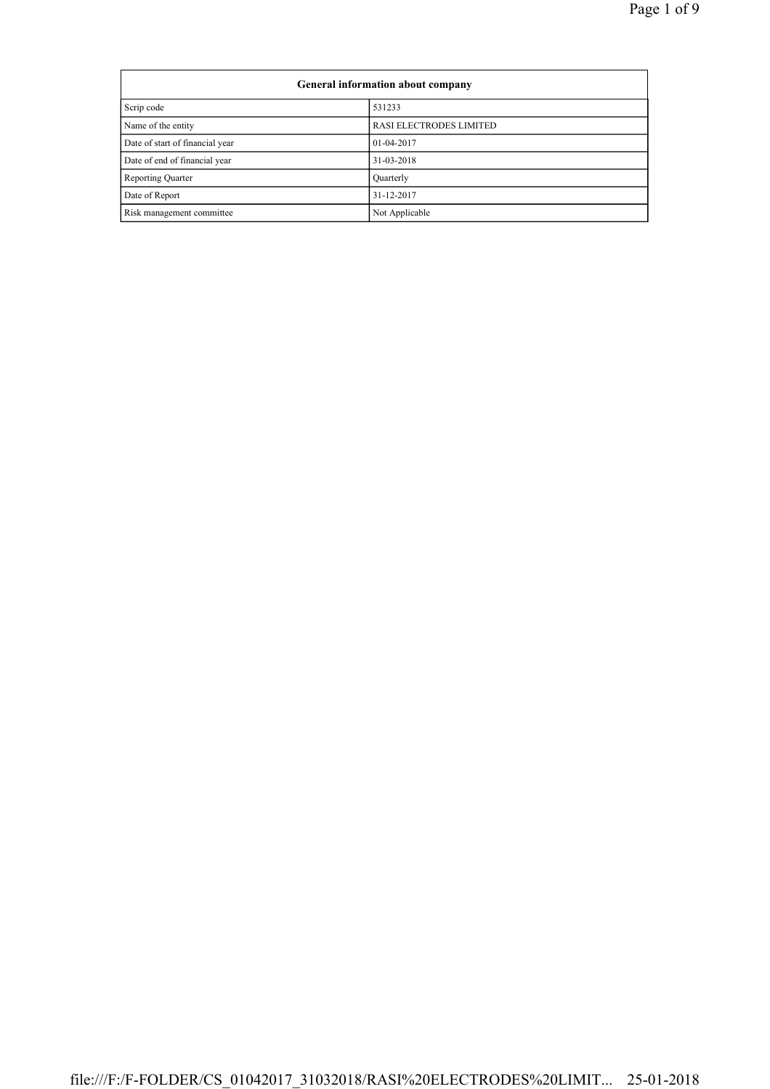| General information about company |                         |  |
|-----------------------------------|-------------------------|--|
| Scrip code                        | 531233                  |  |
| Name of the entity                | RASI ELECTRODES LIMITED |  |
| Date of start of financial year   | 01-04-2017              |  |
| Date of end of financial year     | 31-03-2018              |  |
| <b>Reporting Quarter</b>          | Quarterly               |  |
| Date of Report                    | 31-12-2017              |  |
| Risk management committee         | Not Applicable          |  |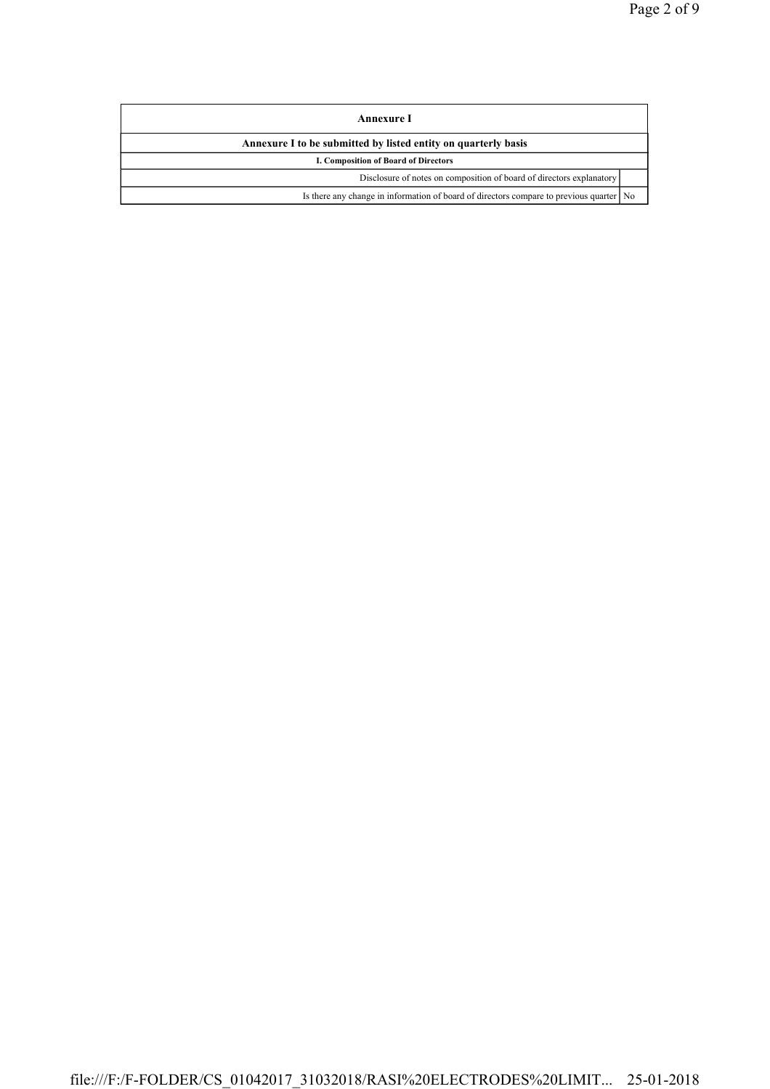| Annexure I                                                                                |  |  |
|-------------------------------------------------------------------------------------------|--|--|
| Annexure I to be submitted by listed entity on quarterly basis                            |  |  |
| I. Composition of Board of Directors                                                      |  |  |
| Disclosure of notes on composition of board of directors explanatory                      |  |  |
| Is there any change in information of board of directors compare to previous quarter   No |  |  |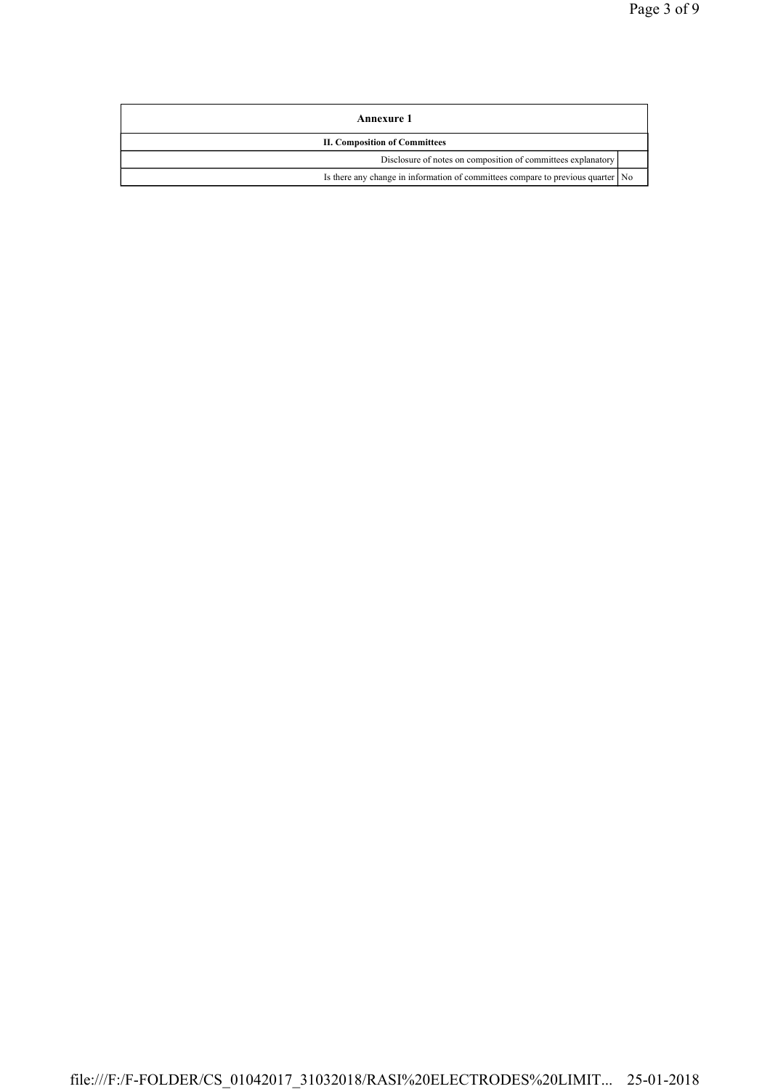| Annexure 1                                                                      |  |  |
|---------------------------------------------------------------------------------|--|--|
| <b>II. Composition of Committees</b>                                            |  |  |
| Disclosure of notes on composition of committees explanatory                    |  |  |
| Is there any change in information of committees compare to previous quarter No |  |  |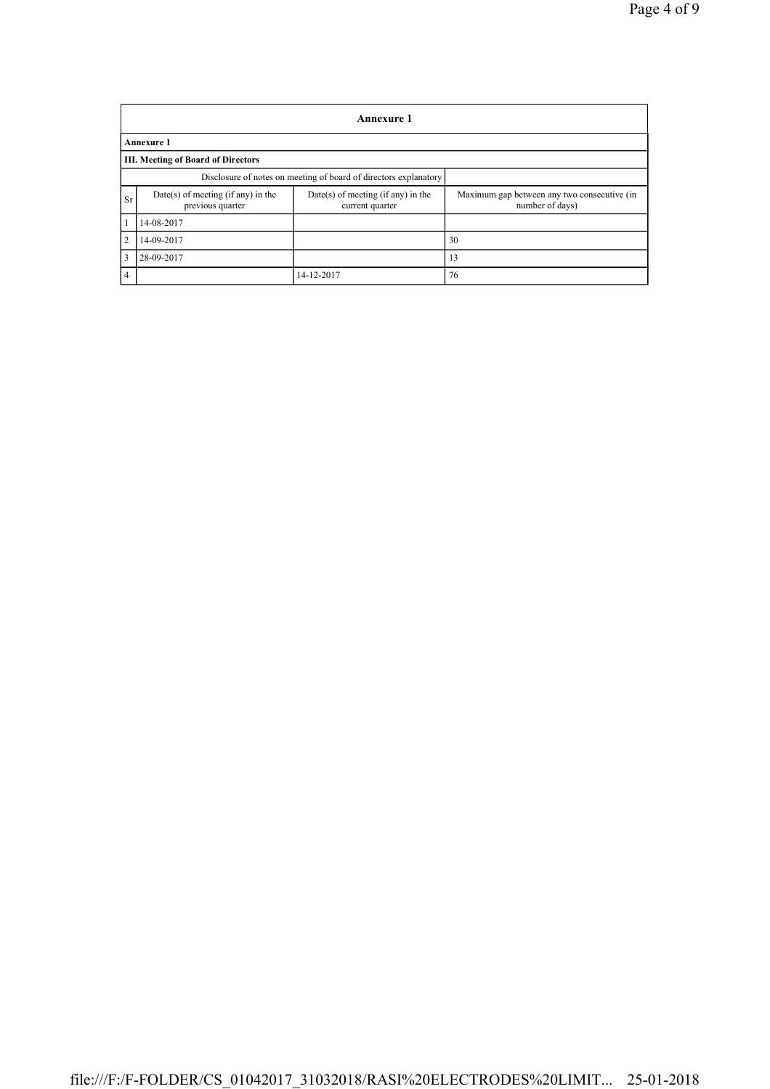|                | <b>Annexure 1</b>                                                |                                                       |                                                                |  |  |
|----------------|------------------------------------------------------------------|-------------------------------------------------------|----------------------------------------------------------------|--|--|
|                | <b>Annexure 1</b>                                                |                                                       |                                                                |  |  |
|                | <b>III. Meeting of Board of Directors</b>                        |                                                       |                                                                |  |  |
|                | Disclosure of notes on meeting of board of directors explanatory |                                                       |                                                                |  |  |
| <b>Sr</b>      | $Date(s)$ of meeting (if any) in the<br>previous quarter         | Date(s) of meeting (if any) in the<br>current quarter | Maximum gap between any two consecutive (in<br>number of days) |  |  |
| 1              | 14-08-2017                                                       |                                                       |                                                                |  |  |
| 2              | 14-09-2017                                                       |                                                       | 30                                                             |  |  |
| $\overline{3}$ | 28-09-2017                                                       |                                                       | 13                                                             |  |  |
| $\overline{4}$ |                                                                  | 14-12-2017                                            | 76                                                             |  |  |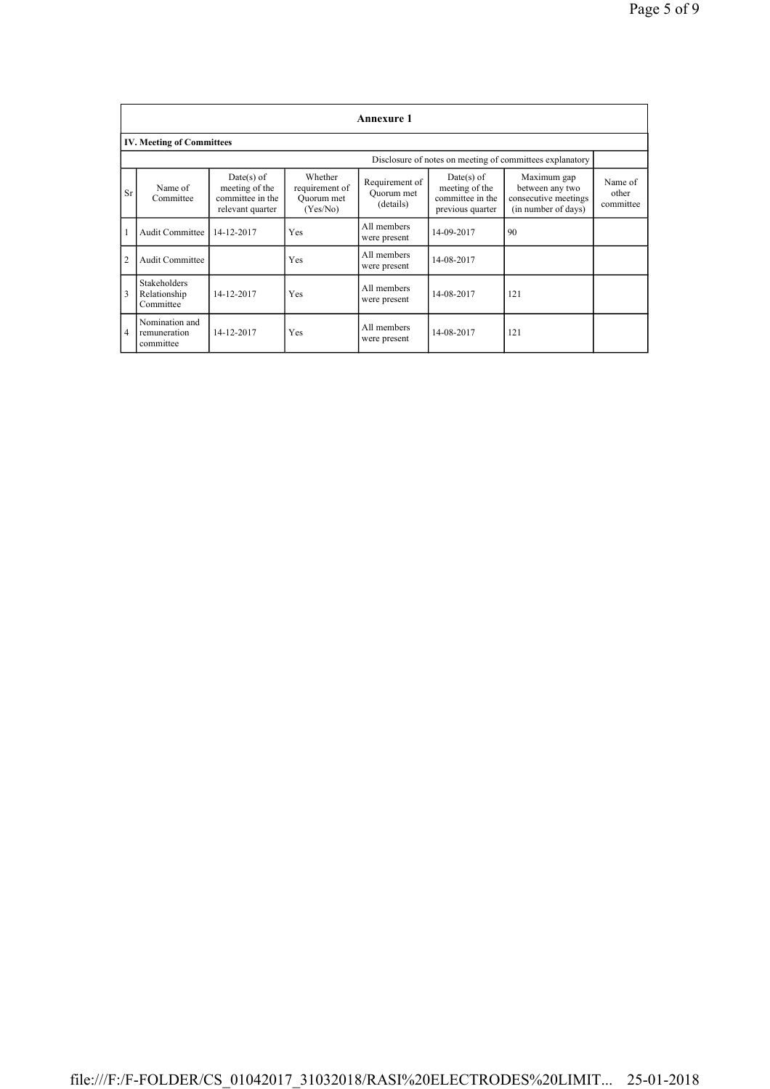| <b>Annexure 1</b> |                                                  |                                                                      |                                                     |                                           |                                                                      |                                                                               |                               |
|-------------------|--------------------------------------------------|----------------------------------------------------------------------|-----------------------------------------------------|-------------------------------------------|----------------------------------------------------------------------|-------------------------------------------------------------------------------|-------------------------------|
|                   | <b>IV. Meeting of Committees</b>                 |                                                                      |                                                     |                                           |                                                                      |                                                                               |                               |
|                   |                                                  |                                                                      |                                                     |                                           |                                                                      | Disclosure of notes on meeting of committees explanatory                      |                               |
| <b>Sr</b>         | Name of<br>Committee                             | Date(s) of<br>meeting of the<br>committee in the<br>relevant quarter | Whether<br>requirement of<br>Ouorum met<br>(Yes/No) | Requirement of<br>Quorum met<br>(details) | Date(s) of<br>meeting of the<br>committee in the<br>previous quarter | Maximum gap<br>between any two<br>consecutive meetings<br>(in number of days) | Name of<br>other<br>committee |
|                   | <b>Audit Committee</b>                           | 14-12-2017                                                           | Yes                                                 | All members<br>were present               | 14-09-2017                                                           | 90                                                                            |                               |
| $\overline{2}$    | <b>Audit Committee</b>                           |                                                                      | Yes                                                 | All members<br>were present               | 14-08-2017                                                           |                                                                               |                               |
| $\overline{3}$    | <b>Stakeholders</b><br>Relationship<br>Committee | 14-12-2017                                                           | Yes                                                 | All members<br>were present               | 14-08-2017                                                           | 121                                                                           |                               |
| $\overline{4}$    | Nomination and<br>remuneration<br>committee      | 14-12-2017                                                           | Yes                                                 | All members<br>were present               | 14-08-2017                                                           | 121                                                                           |                               |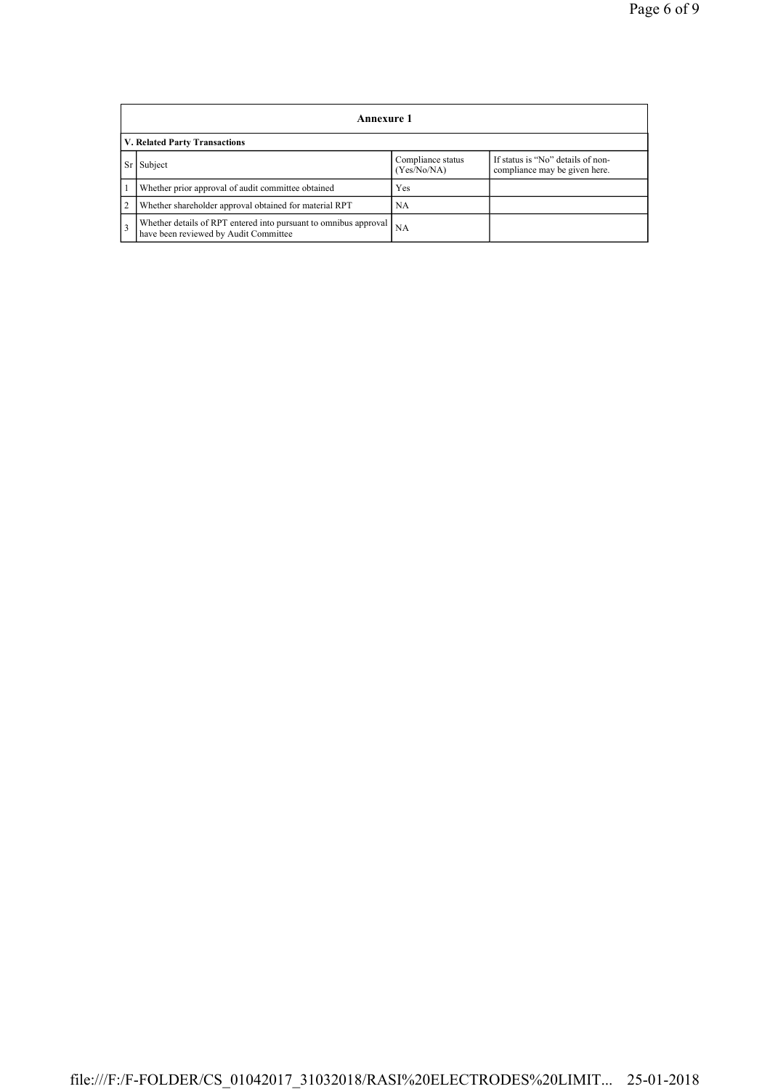|                               | Annexure 1                                                                                                |                                  |                                                                    |  |
|-------------------------------|-----------------------------------------------------------------------------------------------------------|----------------------------------|--------------------------------------------------------------------|--|
| V. Related Party Transactions |                                                                                                           |                                  |                                                                    |  |
| Sr                            | Subject                                                                                                   | Compliance status<br>(Yes/No/NA) | If status is "No" details of non-<br>compliance may be given here. |  |
|                               | Whether prior approval of audit committee obtained                                                        | Yes                              |                                                                    |  |
| $\overline{2}$                | Whether shareholder approval obtained for material RPT                                                    | NA                               |                                                                    |  |
| $\overline{3}$                | Whether details of RPT entered into pursuant to omnibus approval<br>have been reviewed by Audit Committee | <b>NA</b>                        |                                                                    |  |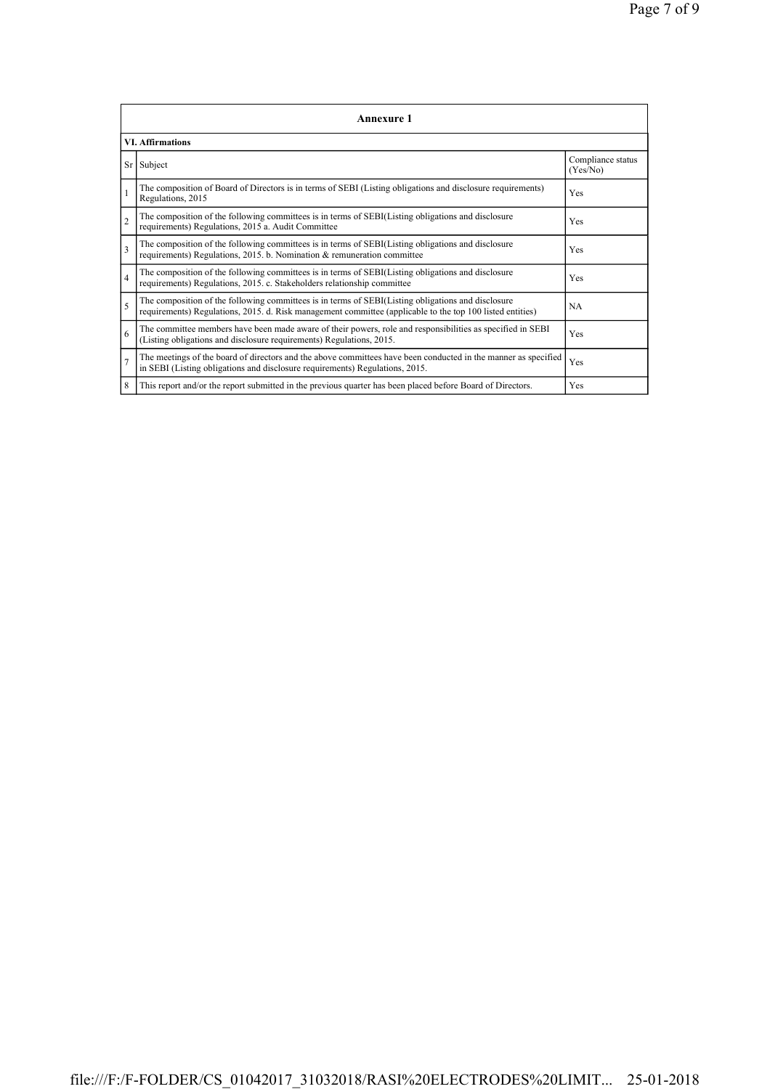|                | <b>Annexure 1</b>                                                                                                                                                                                               |                               |  |  |  |
|----------------|-----------------------------------------------------------------------------------------------------------------------------------------------------------------------------------------------------------------|-------------------------------|--|--|--|
|                | <b>VI. Affirmations</b>                                                                                                                                                                                         |                               |  |  |  |
|                | Sr Subject                                                                                                                                                                                                      | Compliance status<br>(Yes/No) |  |  |  |
|                | The composition of Board of Directors is in terms of SEBI (Listing obligations and disclosure requirements)<br>Regulations, 2015                                                                                | Yes                           |  |  |  |
| $\overline{2}$ | The composition of the following committees is in terms of SEBI(Listing obligations and disclosure<br>requirements) Regulations, 2015 a. Audit Committee                                                        | Yes                           |  |  |  |
| $\mathbf{3}$   | The composition of the following committees is in terms of SEBI(Listing obligations and disclosure<br>requirements) Regulations, 2015. b. Nomination & remuneration committee                                   | Yes                           |  |  |  |
| $\overline{4}$ | The composition of the following committees is in terms of SEBI(Listing obligations and disclosure<br>requirements) Regulations, 2015. c. Stakeholders relationship committee                                   | Yes                           |  |  |  |
| 5              | The composition of the following committees is in terms of SEBI(Listing obligations and disclosure<br>requirements) Regulations, 2015. d. Risk management committee (applicable to the top 100 listed entities) | <b>NA</b>                     |  |  |  |
| 6              | The committee members have been made aware of their powers, role and responsibilities as specified in SEBI<br>(Listing obligations and disclosure requirements) Regulations, 2015.                              | Yes                           |  |  |  |
| $\overline{7}$ | The meetings of the board of directors and the above committees have been conducted in the manner as specified<br>in SEBI (Listing obligations and disclosure requirements) Regulations, 2015.                  | Yes                           |  |  |  |
| 8              | This report and/or the report submitted in the previous quarter has been placed before Board of Directors.                                                                                                      | Yes                           |  |  |  |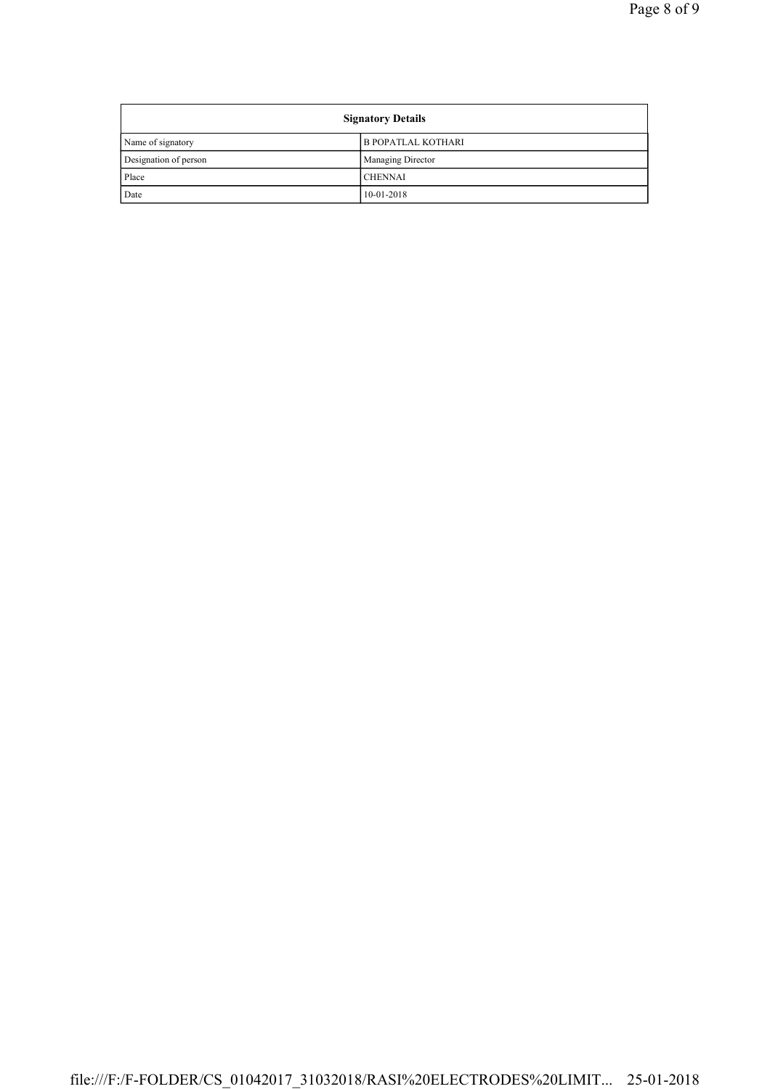| <b>Signatory Details</b> |                           |
|--------------------------|---------------------------|
| Name of signatory        | <b>B POPATLAL KOTHARI</b> |
| Designation of person    | <b>Managing Director</b>  |
| Place                    | <b>CHENNAI</b>            |
| Date                     | $10-01-2018$              |